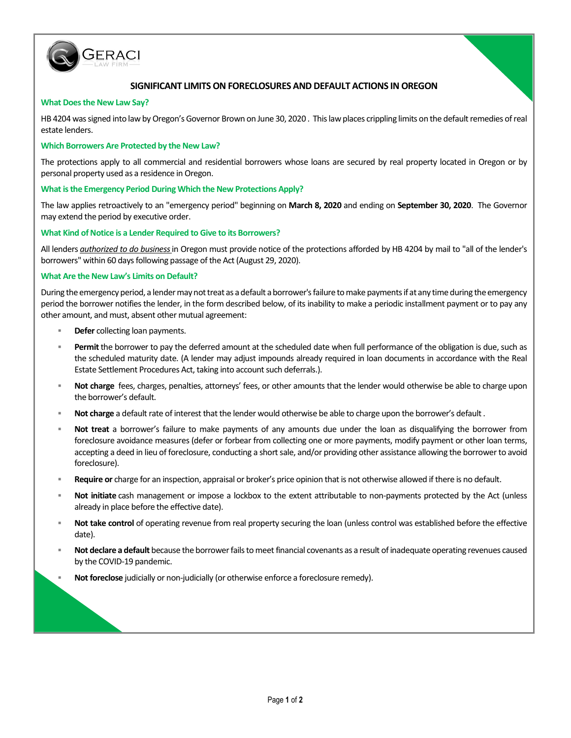

# **SIGNIFICANT LIMITS ON FORECLOSURES AND DEFAULT ACTIONS IN OREGON**

### **What Does the New Law Say?**

HB 4204 was signed into law by Oregon's Governor Brown on June 30, 2020 . This law places crippling limits on the default remedies of real estate lenders.

### **Which Borrowers Are Protected by the New Law?**

The protections apply to all commercial and residential borrowers whose loans are secured by real property located in Oregon or by personal property used as a residence in Oregon.

### **What is the Emergency Period During Which the New Protections Apply?**

The law applies retroactively to an "emergency period" beginning on **March 8, 2020** and ending on **September 30, 2020**. The Governor may extend the period by executive order.

#### **What Kind of Notice is a Lender Required to Give to its Borrowers?**

All lenders *authorized to do business*in Oregon must provide notice of the protections afforded by HB 4204 by mail to "all of the lender's borrowers" within 60 days following passage of the Act (August 29, 2020).

#### **What Are the New Law's Limits on Default?**

During the emergency period, a lender may not treat as a default a borrower's failure to make payments if at any time during the emergency period the borrower notifies the lender, in the form described below, of its inability to make a periodic installment payment or to pay any other amount, and must, absent other mutual agreement:

- **Defer** collecting loan payments.
- **Permit**the borrower to pay the deferred amount at the scheduled date when full performance of the obligation is due, such as the scheduled maturity date. (A lender may adjust impounds already required in loan documents in accordance with the Real Estate Settlement Procedures Act, taking into account such deferrals.).
- **Not charge** fees, charges, penalties, attorneys' fees, or other amounts that the lender would otherwise be able to charge upon the borrower's default.
- **Not charge** a default rate of interest that the lender would otherwise be able to charge upon the borrower's default .
- **Not treat** a borrower's failure to make payments of any amounts due under the loan as disqualifying the borrower from foreclosure avoidance measures (defer or forbear from collecting one or more payments, modify payment or other loan terms, accepting a deed in lieu of foreclosure, conducting a short sale, and/or providing other assistance allowing the borrower to avoid foreclosure).
- **Require or** charge for an inspection, appraisal or broker's price opinion that is not otherwise allowed if there is no default.
- **Not initiate** cash management or impose a lockbox to the extent attributable to non-payments protected by the Act (unless already in place before the effective date).
- **Not take control** of operating revenue from real property securing the loan (unless control was established before the effective date).
- **Not declare a default** because the borrower fails to meet financial covenants as a result ofinadequate operating revenues caused by the COVID-19 pandemic.
- **Not foreclose** judicially or non-judicially (or otherwise enforce a foreclosure remedy).